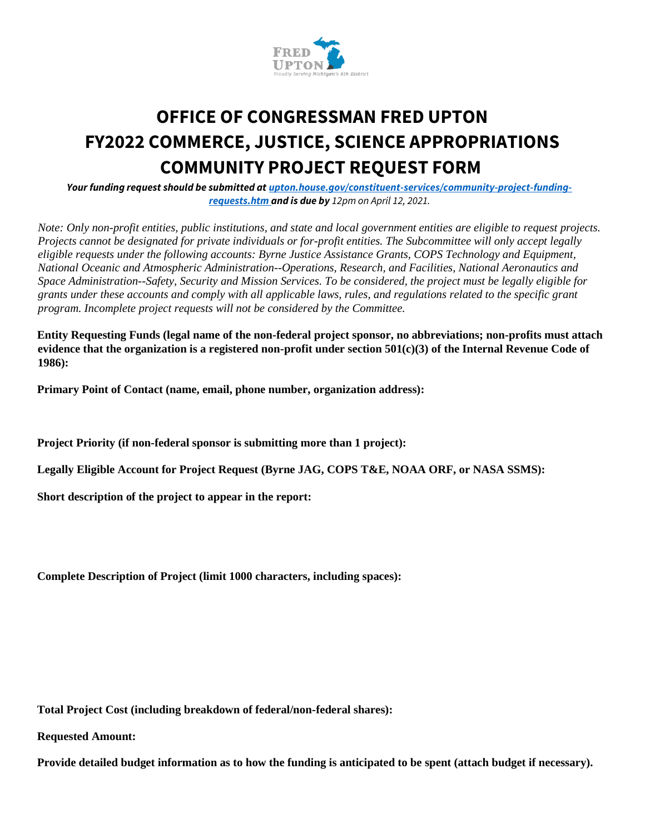

# **OFFICE OF CONGRESSMAN FRED UPTON FY2022 COMMERCE, JUSTICE, SCIENCE APPROPRIATIONS COMMUNITY PROJECT REQUEST FORM**

*Your funding request should be submitted at upton.house.gov/constituent-services/community-project-fundingrequests.htm and is due by 12pm on April 12, 2021.*

*Note: Only non-profit entities, public institutions, and state and local government entities are eligible to request projects. Projects cannot be designated for private individuals or for-profit entities. The Subcommittee will only accept legally eligible requests under the following accounts: Byrne Justice Assistance Grants, COPS Technology and Equipment, National Oceanic and Atmospheric Administration--Operations, Research, and Facilities, National Aeronautics and Space Administration--Safety, Security and Mission Services. To be considered, the project must be legally eligible for grants under these accounts and comply with all applicable laws, rules, and regulations related to the specific grant program. Incomplete project requests will not be considered by the Committee.* 

**Entity Requesting Funds (legal name of the non-federal project sponsor, no abbreviations; non-profits must attach evidence that the organization is a registered non-profit under section 501(c)(3) of the Internal Revenue Code of 1986):** 

**Primary Point of Contact (name, email, phone number, organization address):**

**Project Priority (if non-federal sponsor is submitting more than 1 project):** 

**Legally Eligible Account for Project Request (Byrne JAG, COPS T&E, NOAA ORF, or NASA SSMS):** 

**Short description of the project to appear in the report:** 

**Complete Description of Project (limit 1000 characters, including spaces):** 

**Total Project Cost (including breakdown of federal/non-federal shares):** 

**Requested Amount:** 

**Provide detailed budget information as to how the funding is anticipated to be spent (attach budget if necessary).**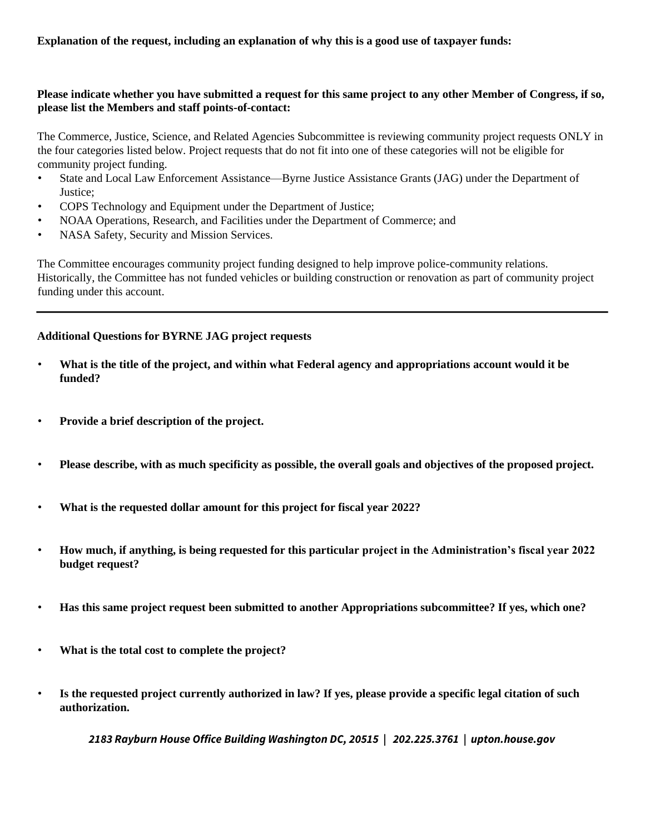## **Please indicate whether you have submitted a request for this same project to any other Member of Congress, if so, please list the Members and staff points-of-contact:**

The Commerce, Justice, Science, and Related Agencies Subcommittee is reviewing community project requests ONLY in the four categories listed below. Project requests that do not fit into one of these categories will not be eligible for community project funding.

- State and Local Law Enforcement Assistance—Byrne Justice Assistance Grants (JAG) under the Department of Justice;
- COPS Technology and Equipment under the Department of Justice;
- NOAA Operations, Research, and Facilities under the Department of Commerce; and
- NASA Safety, Security and Mission Services.

The Committee encourages community project funding designed to help improve police-community relations. Historically, the Committee has not funded vehicles or building construction or renovation as part of community project funding under this account.

## **Additional Questions for BYRNE JAG project requests**

- **What is the title of the project, and within what Federal agency and appropriations account would it be funded?**
- **Provide a brief description of the project.**
- **Please describe, with as much specificity as possible, the overall goals and objectives of the proposed project.**
- **What is the requested dollar amount for this project for fiscal year 2022?**
- **How much, if anything, is being requested for this particular project in the Administration's fiscal year 2022 budget request?**
- **Has this same project request been submitted to another Appropriations subcommittee? If yes, which one?**
- **What is the total cost to complete the project?**
- **Is the requested project currently authorized in law? If yes, please provide a specific legal citation of such authorization.**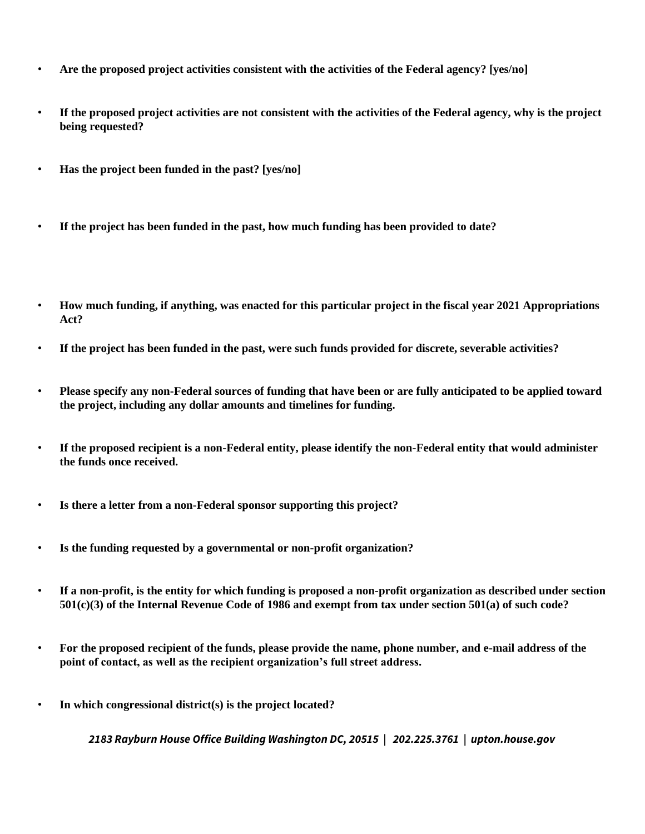- **Are the proposed project activities consistent with the activities of the Federal agency? [yes/no]**
- **If the proposed project activities are not consistent with the activities of the Federal agency, why is the project being requested?**
- **Has the project been funded in the past? [yes/no]**
- **If the project has been funded in the past, how much funding has been provided to date?**
- **How much funding, if anything, was enacted for this particular project in the fiscal year 2021 Appropriations Act?**
- **If the project has been funded in the past, were such funds provided for discrete, severable activities?**
- **Please specify any non-Federal sources of funding that have been or are fully anticipated to be applied toward the project, including any dollar amounts and timelines for funding.**
- **If the proposed recipient is a non-Federal entity, please identify the non-Federal entity that would administer the funds once received.**
- **Is there a letter from a non-Federal sponsor supporting this project?**
- **Is the funding requested by a governmental or non-profit organization?**
- **If a non-profit, is the entity for which funding is proposed a non-profit organization as described under section 501(c)(3) of the Internal Revenue Code of 1986 and exempt from tax under section 501(a) of such code?**
- **For the proposed recipient of the funds, please provide the name, phone number, and e-mail address of the point of contact, as well as the recipient organization's full street address.**
- **In which congressional district(s) is the project located?**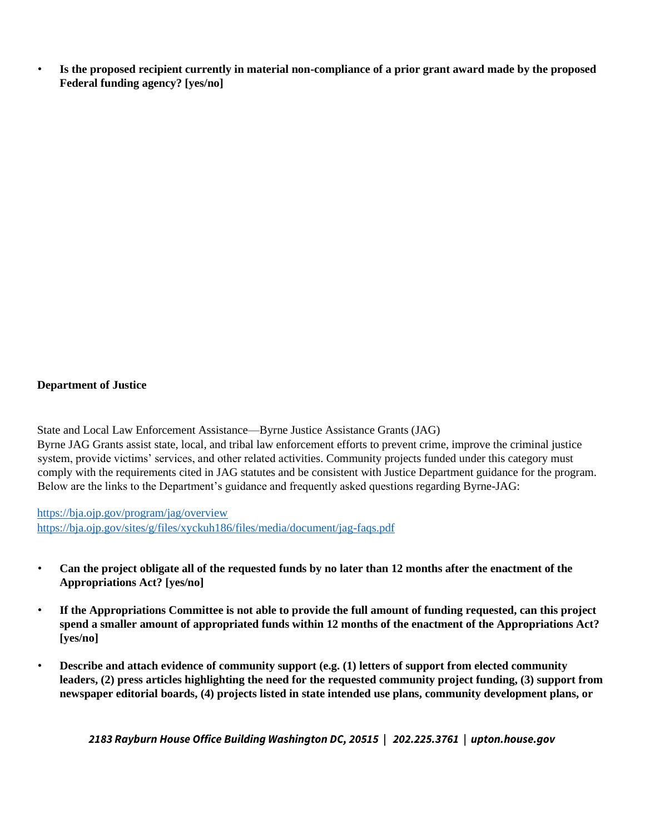• **Is the proposed recipient currently in material non-compliance of a prior grant award made by the proposed Federal funding agency? [yes/no]** 

#### **Department of Justice**

State and Local Law Enforcement Assistance—Byrne Justice Assistance Grants (JAG) Byrne JAG Grants assist state, local, and tribal law enforcement efforts to prevent crime, improve the criminal justice system, provide victims' services, and other related activities. Community projects funded under this category must comply with the requirements cited in JAG statutes and be consistent with Justice Department guidance for the program. Below are the links to the Department's guidance and frequently asked questions regarding Byrne-JAG:

https://bja.ojp.gov/program/jag/overview https://bja.ojp.gov/sites/g/files/xyckuh186/files/media/document/jag-faqs.pdf

- **Can the project obligate all of the requested funds by no later than 12 months after the enactment of the Appropriations Act? [yes/no]**
- **If the Appropriations Committee is not able to provide the full amount of funding requested, can this project spend a smaller amount of appropriated funds within 12 months of the enactment of the Appropriations Act? [yes/no]**
- **Describe and attach evidence of community support (e.g. (1) letters of support from elected community leaders, (2) press articles highlighting the need for the requested community project funding, (3) support from newspaper editorial boards, (4) projects listed in state intended use plans, community development plans, or**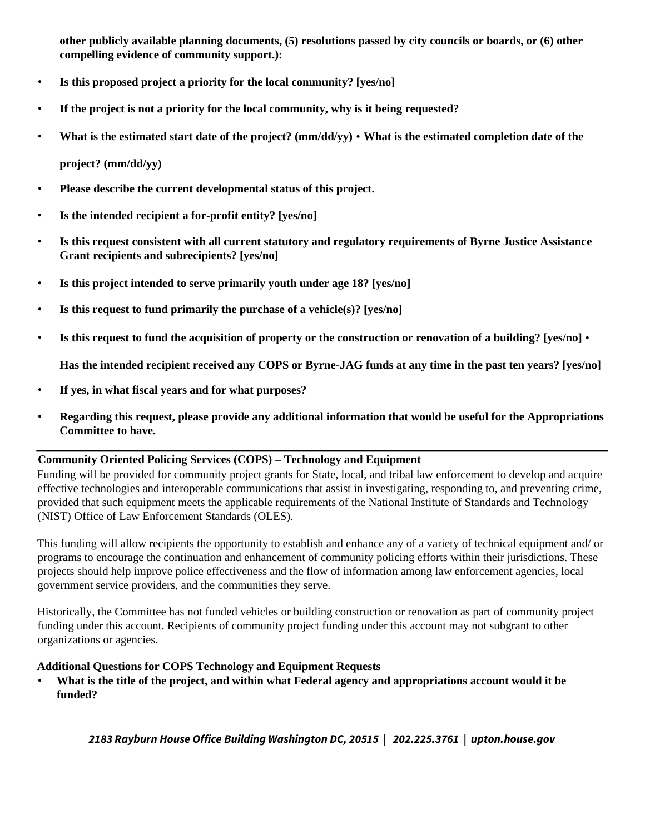**other publicly available planning documents, (5) resolutions passed by city councils or boards, or (6) other compelling evidence of community support.):**

- **Is this proposed project a priority for the local community? [yes/no]**
- **If the project is not a priority for the local community, why is it being requested?**
- **What is the estimated start date of the project? (mm/dd/yy) What is the estimated completion date of the**

**project? (mm/dd/yy)**

- **Please describe the current developmental status of this project.**
- **Is the intended recipient a for-profit entity? [yes/no]**
- **Is this request consistent with all current statutory and regulatory requirements of Byrne Justice Assistance Grant recipients and subrecipients? [yes/no]**
- **Is this project intended to serve primarily youth under age 18? [yes/no]**
- **Is this request to fund primarily the purchase of a vehicle(s)? [yes/no]**
- **Is this request to fund the acquisition of property or the construction or renovation of a building? [yes/no]** •

**Has the intended recipient received any COPS or Byrne-JAG funds at any time in the past ten years? [yes/no]**

- **If yes, in what fiscal years and for what purposes?**
- **Regarding this request, please provide any additional information that would be useful for the Appropriations Committee to have.**

#### **Community Oriented Policing Services (COPS) – Technology and Equipment**

Funding will be provided for community project grants for State, local, and tribal law enforcement to develop and acquire effective technologies and interoperable communications that assist in investigating, responding to, and preventing crime, provided that such equipment meets the applicable requirements of the National Institute of Standards and Technology (NIST) Office of Law Enforcement Standards (OLES).

This funding will allow recipients the opportunity to establish and enhance any of a variety of technical equipment and/ or programs to encourage the continuation and enhancement of community policing efforts within their jurisdictions. These projects should help improve police effectiveness and the flow of information among law enforcement agencies, local government service providers, and the communities they serve.

Historically, the Committee has not funded vehicles or building construction or renovation as part of community project funding under this account. Recipients of community project funding under this account may not subgrant to other organizations or agencies.

#### **Additional Questions for COPS Technology and Equipment Requests**

• **What is the title of the project, and within what Federal agency and appropriations account would it be funded?**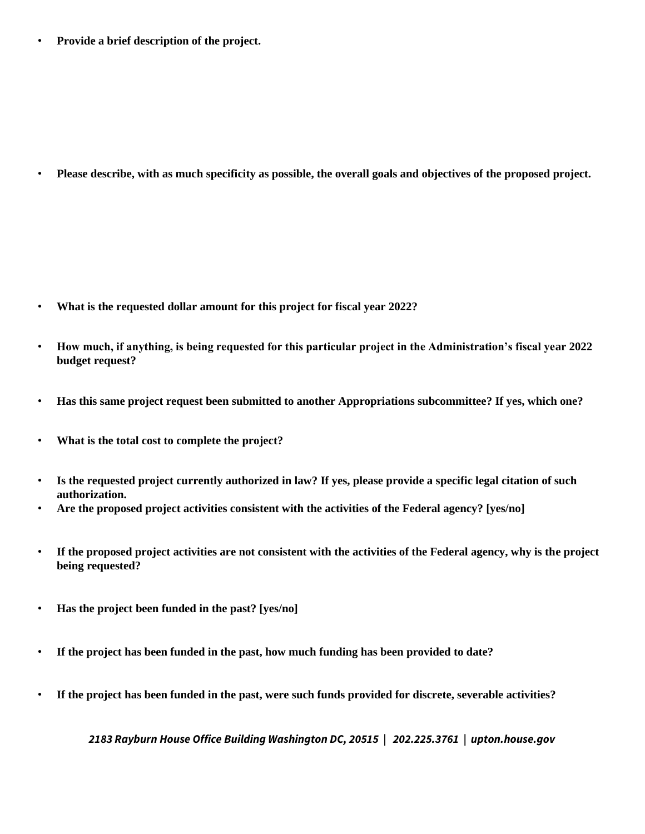• **Provide a brief description of the project.**

• **Please describe, with as much specificity as possible, the overall goals and objectives of the proposed project.**

- **What is the requested dollar amount for this project for fiscal year 2022?**
- **How much, if anything, is being requested for this particular project in the Administration's fiscal year 2022 budget request?**
- **Has this same project request been submitted to another Appropriations subcommittee? If yes, which one?**
- **What is the total cost to complete the project?**
- **Is the requested project currently authorized in law? If yes, please provide a specific legal citation of such authorization.**
- **Are the proposed project activities consistent with the activities of the Federal agency? [yes/no]**
- **If the proposed project activities are not consistent with the activities of the Federal agency, why is the project being requested?**
- **Has the project been funded in the past? [yes/no]**
- **If the project has been funded in the past, how much funding has been provided to date?**
- **If the project has been funded in the past, were such funds provided for discrete, severable activities?**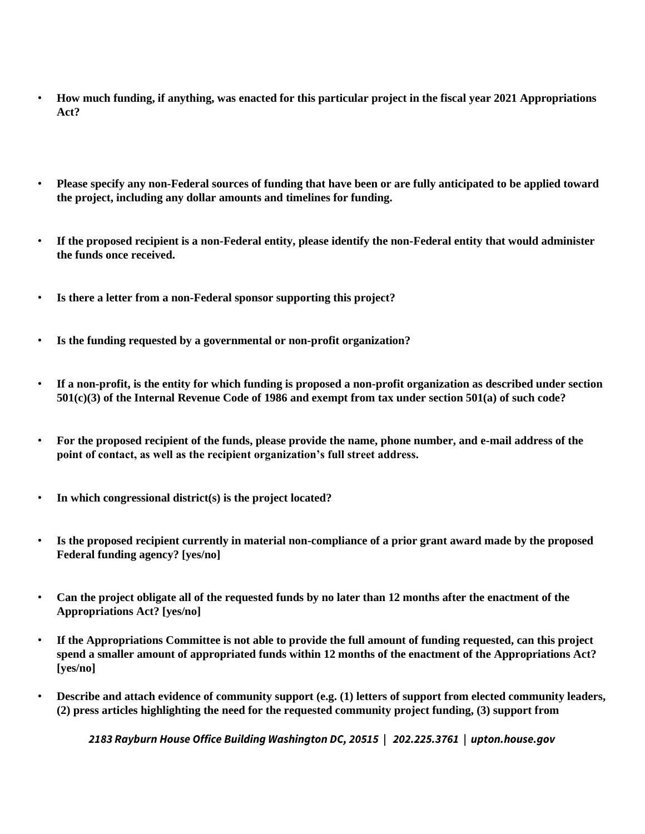- **How much funding, if anything, was enacted for this particular project in the fiscal year 2021 Appropriations Act?**
- **Please specify any non-Federal sources of funding that have been or are fully anticipated to be applied toward the project, including any dollar amounts and timelines for funding.**
- **If the proposed recipient is a non-Federal entity, please identify the non-Federal entity that would administer the funds once received.**
- **Is there a letter from a non-Federal sponsor supporting this project?**
- **Is the funding requested by a governmental or non-profit organization?**
- **If a non-profit, is the entity for which funding is proposed a non-profit organization as described under section 501(c)(3) of the Internal Revenue Code of 1986 and exempt from tax under section 501(a) of such code?**
- **For the proposed recipient of the funds, please provide the name, phone number, and e-mail address of the point of contact, as well as the recipient organization's full street address.**
- **In which congressional district(s) is the project located?**
- **Is the proposed recipient currently in material non-compliance of a prior grant award made by the proposed Federal funding agency? [yes/no]**
- **Can the project obligate all of the requested funds by no later than 12 months after the enactment of the Appropriations Act? [yes/no]**
- **If the Appropriations Committee is not able to provide the full amount of funding requested, can this project spend a smaller amount of appropriated funds within 12 months of the enactment of the Appropriations Act? [yes/no]**
- **Describe and attach evidence of community support (e.g. (1) letters of support from elected community leaders, (2) press articles highlighting the need for the requested community project funding, (3) support from**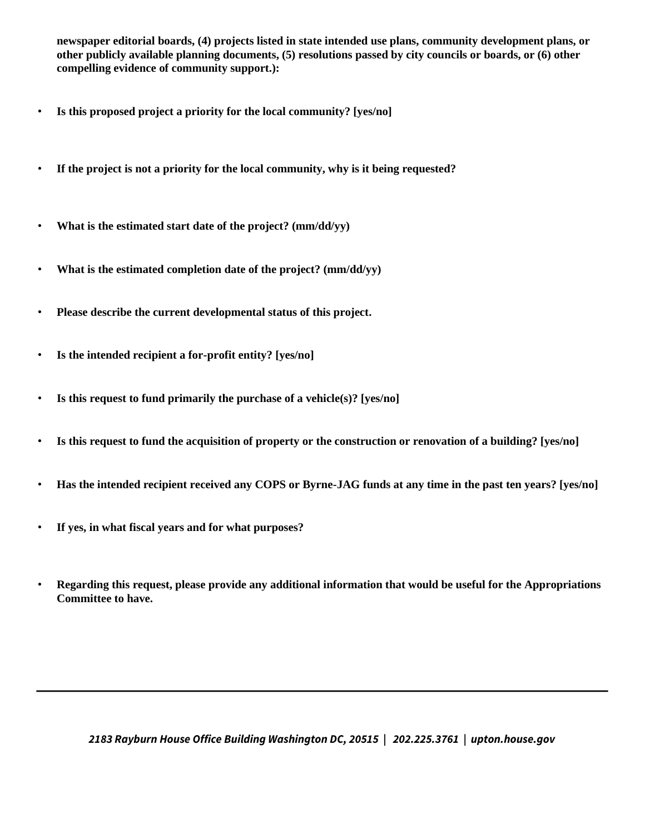**newspaper editorial boards, (4) projects listed in state intended use plans, community development plans, or other publicly available planning documents, (5) resolutions passed by city councils or boards, or (6) other compelling evidence of community support.):** 

- **Is this proposed project a priority for the local community? [yes/no]**
- **If the project is not a priority for the local community, why is it being requested?**
- **What is the estimated start date of the project? (mm/dd/yy)**
- **What is the estimated completion date of the project? (mm/dd/yy)**
- **Please describe the current developmental status of this project.**
- **Is the intended recipient a for-profit entity? [yes/no]**
- **Is this request to fund primarily the purchase of a vehicle(s)? [yes/no]**
- **Is this request to fund the acquisition of property or the construction or renovation of a building? [yes/no]**
- **Has the intended recipient received any COPS or Byrne-JAG funds at any time in the past ten years? [yes/no]**
- **If yes, in what fiscal years and for what purposes?**
- **Regarding this request, please provide any additional information that would be useful for the Appropriations Committee to have.**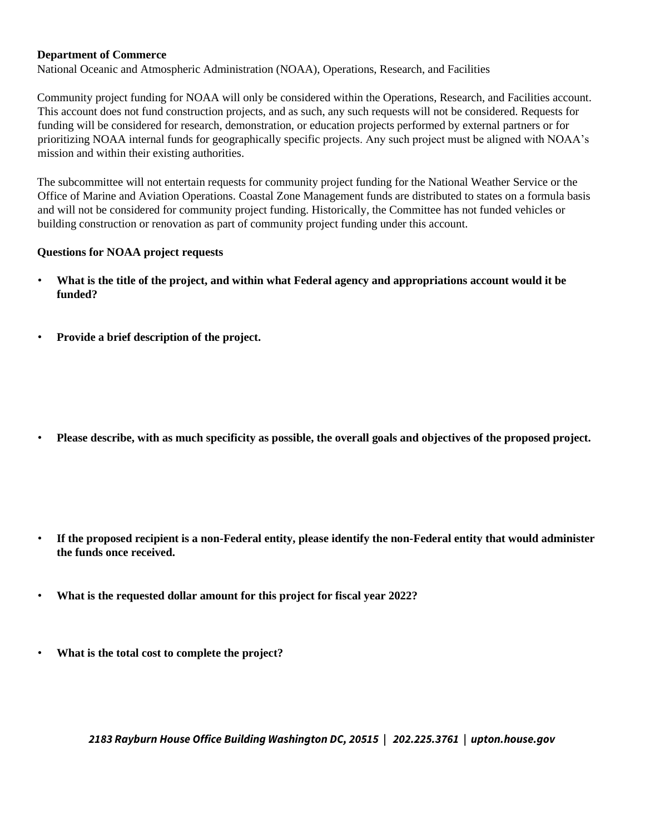#### **Department of Commerce**

National Oceanic and Atmospheric Administration (NOAA), Operations, Research, and Facilities

Community project funding for NOAA will only be considered within the Operations, Research, and Facilities account. This account does not fund construction projects, and as such, any such requests will not be considered. Requests for funding will be considered for research, demonstration, or education projects performed by external partners or for prioritizing NOAA internal funds for geographically specific projects. Any such project must be aligned with NOAA's mission and within their existing authorities.

The subcommittee will not entertain requests for community project funding for the National Weather Service or the Office of Marine and Aviation Operations. Coastal Zone Management funds are distributed to states on a formula basis and will not be considered for community project funding. Historically, the Committee has not funded vehicles or building construction or renovation as part of community project funding under this account.

#### **Questions for NOAA project requests**

- **What is the title of the project, and within what Federal agency and appropriations account would it be funded?**
- **Provide a brief description of the project.**

• **Please describe, with as much specificity as possible, the overall goals and objectives of the proposed project.** 

- **If the proposed recipient is a non-Federal entity, please identify the non-Federal entity that would administer the funds once received.**
- **What is the requested dollar amount for this project for fiscal year 2022?**
- **What is the total cost to complete the project?**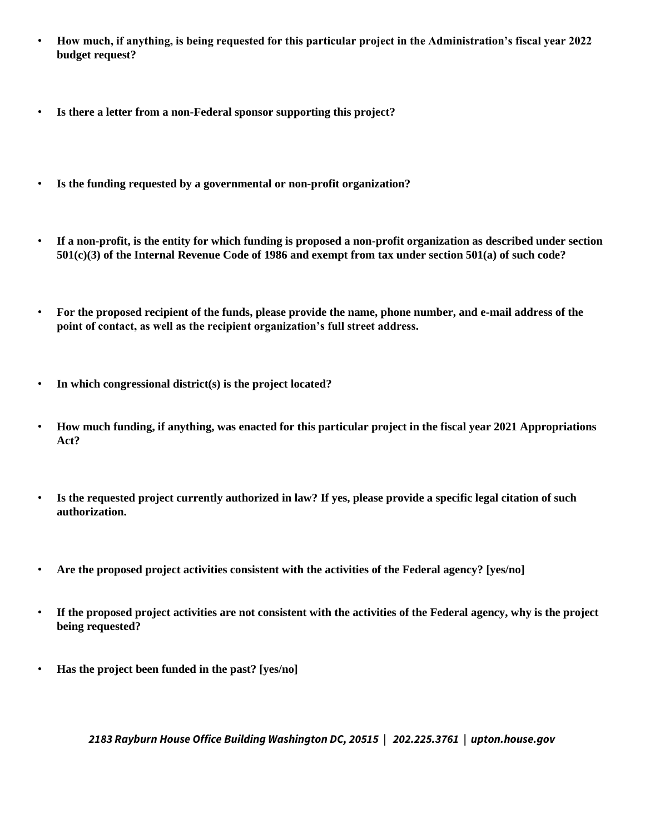- **How much, if anything, is being requested for this particular project in the Administration's fiscal year 2022 budget request?**
- **Is there a letter from a non-Federal sponsor supporting this project?**
- **Is the funding requested by a governmental or non-profit organization?**
- **If a non-profit, is the entity for which funding is proposed a non-profit organization as described under section 501(c)(3) of the Internal Revenue Code of 1986 and exempt from tax under section 501(a) of such code?**
- **For the proposed recipient of the funds, please provide the name, phone number, and e-mail address of the point of contact, as well as the recipient organization's full street address.**
- **In which congressional district(s) is the project located?**
- **How much funding, if anything, was enacted for this particular project in the fiscal year 2021 Appropriations Act?**
- **Is the requested project currently authorized in law? If yes, please provide a specific legal citation of such authorization.**
- **Are the proposed project activities consistent with the activities of the Federal agency? [yes/no]**
- **If the proposed project activities are not consistent with the activities of the Federal agency, why is the project being requested?**
- **Has the project been funded in the past? [yes/no]**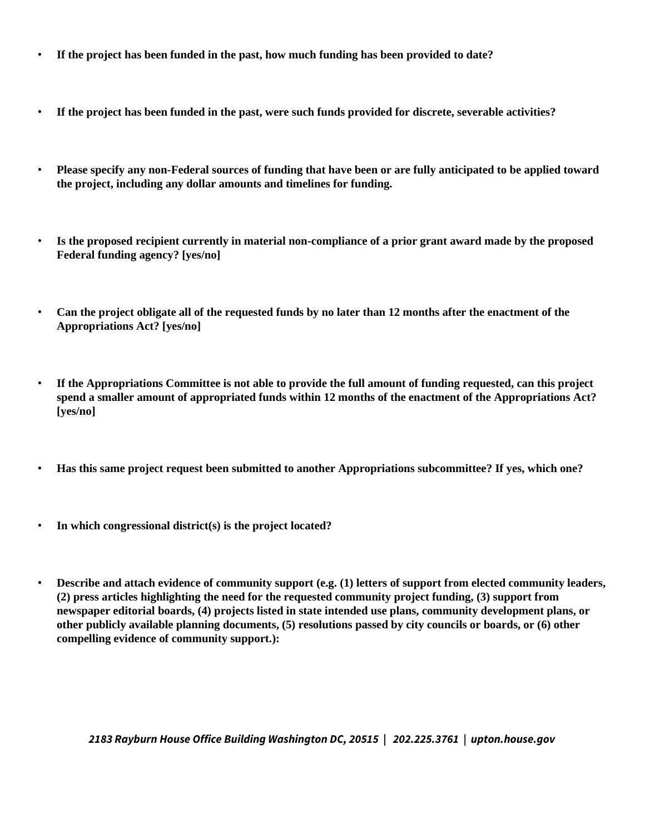- **If the project has been funded in the past, how much funding has been provided to date?**
- **If the project has been funded in the past, were such funds provided for discrete, severable activities?**
- **Please specify any non-Federal sources of funding that have been or are fully anticipated to be applied toward the project, including any dollar amounts and timelines for funding.**
- **Is the proposed recipient currently in material non-compliance of a prior grant award made by the proposed Federal funding agency? [yes/no]**
- **Can the project obligate all of the requested funds by no later than 12 months after the enactment of the Appropriations Act? [yes/no]**
- **If the Appropriations Committee is not able to provide the full amount of funding requested, can this project spend a smaller amount of appropriated funds within 12 months of the enactment of the Appropriations Act? [yes/no]**
- **Has this same project request been submitted to another Appropriations subcommittee? If yes, which one?**
- **In which congressional district(s) is the project located?**
- **Describe and attach evidence of community support (e.g. (1) letters of support from elected community leaders, (2) press articles highlighting the need for the requested community project funding, (3) support from newspaper editorial boards, (4) projects listed in state intended use plans, community development plans, or other publicly available planning documents, (5) resolutions passed by city councils or boards, or (6) other compelling evidence of community support.):**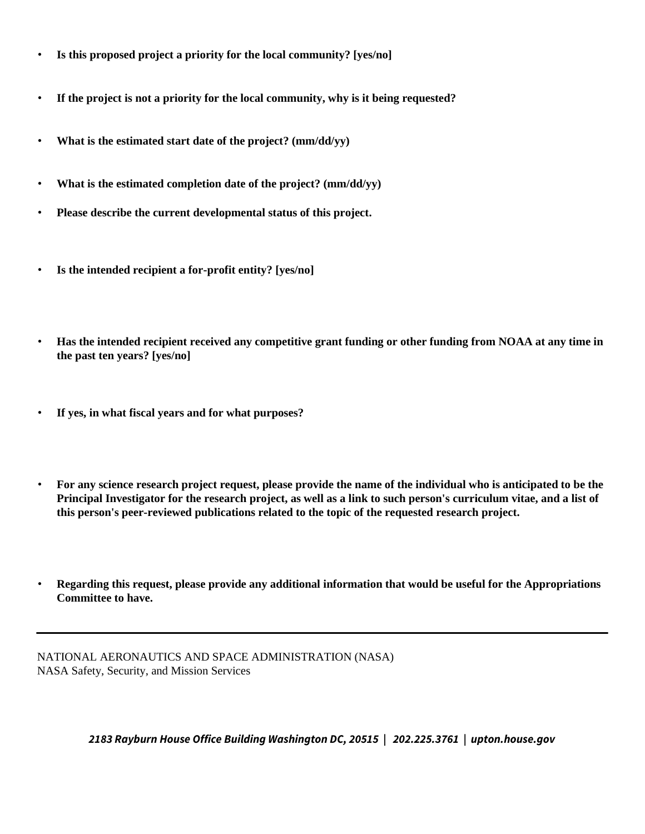- **Is this proposed project a priority for the local community? [yes/no]**
- **If the project is not a priority for the local community, why is it being requested?**
- **What is the estimated start date of the project? (mm/dd/yy)**
- **What is the estimated completion date of the project? (mm/dd/yy)**
- **Please describe the current developmental status of this project.**
- **Is the intended recipient a for-profit entity? [yes/no]**
- **Has the intended recipient received any competitive grant funding or other funding from NOAA at any time in the past ten years? [yes/no]**
- **If yes, in what fiscal years and for what purposes?**
- **For any science research project request, please provide the name of the individual who is anticipated to be the Principal Investigator for the research project, as well as a link to such person's curriculum vitae, and a list of this person's peer-reviewed publications related to the topic of the requested research project.**
- **Regarding this request, please provide any additional information that would be useful for the Appropriations Committee to have.**

NATIONAL AERONAUTICS AND SPACE ADMINISTRATION (NASA) NASA Safety, Security, and Mission Services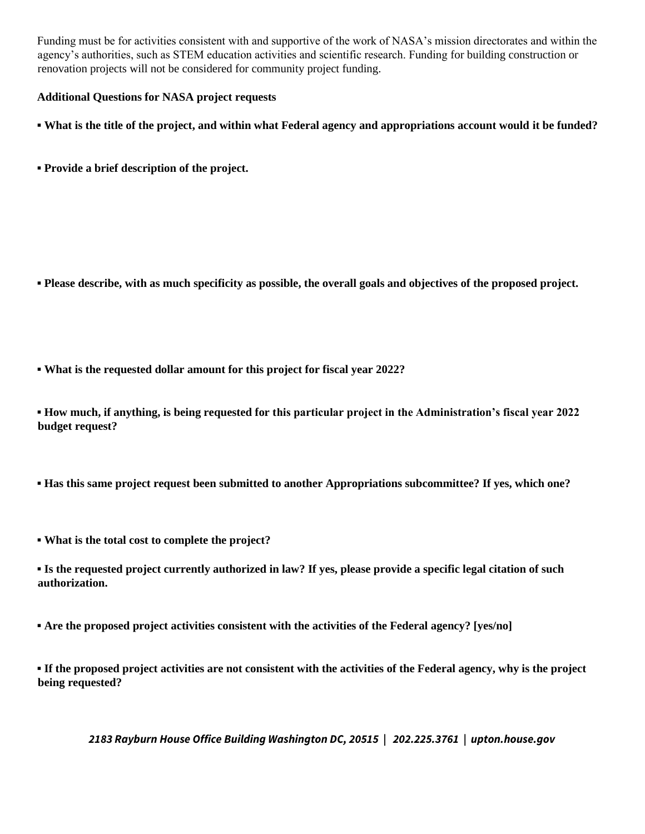Funding must be for activities consistent with and supportive of the work of NASA's mission directorates and within the agency's authorities, such as STEM education activities and scientific research. Funding for building construction or renovation projects will not be considered for community project funding.

## **Additional Questions for NASA project requests**

**▪ What is the title of the project, and within what Federal agency and appropriations account would it be funded?** 

**▪ Provide a brief description of the project.** 

- **▪ Please describe, with as much specificity as possible, the overall goals and objectives of the proposed project.**
- **▪ What is the requested dollar amount for this project for fiscal year 2022?**

**▪ How much, if anything, is being requested for this particular project in the Administration's fiscal year 2022 budget request?** 

- **▪ Has this same project request been submitted to another Appropriations subcommittee? If yes, which one?**
- **▪ What is the total cost to complete the project?**
- **▪ Is the requested project currently authorized in law? If yes, please provide a specific legal citation of such authorization.**

**▪ Are the proposed project activities consistent with the activities of the Federal agency? [yes/no]** 

**▪ If the proposed project activities are not consistent with the activities of the Federal agency, why is the project being requested?**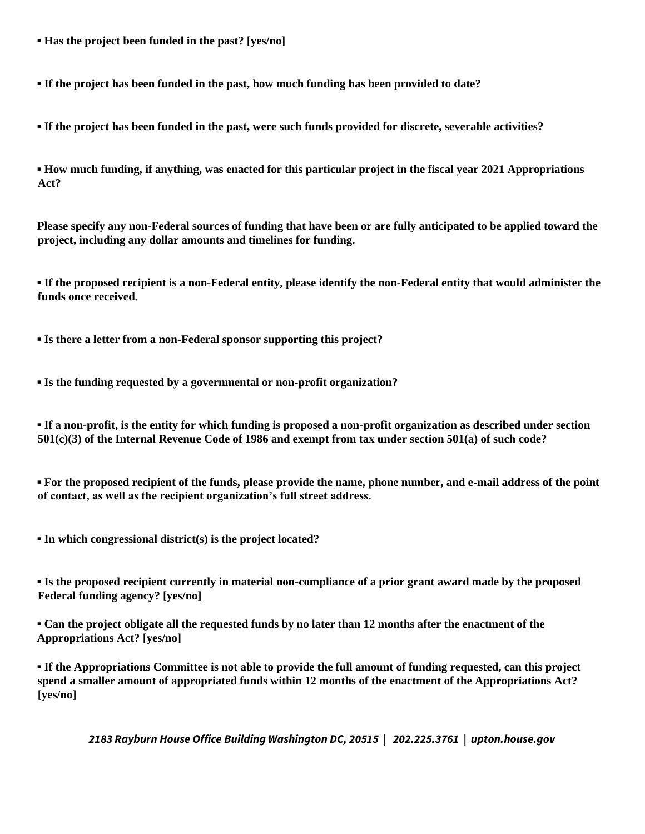**▪ Has the project been funded in the past? [yes/no]** 

**▪ If the project has been funded in the past, how much funding has been provided to date?** 

**▪ If the project has been funded in the past, were such funds provided for discrete, severable activities?** 

**▪ How much funding, if anything, was enacted for this particular project in the fiscal year 2021 Appropriations Act?** 

**Please specify any non-Federal sources of funding that have been or are fully anticipated to be applied toward the project, including any dollar amounts and timelines for funding.** 

**▪ If the proposed recipient is a non-Federal entity, please identify the non-Federal entity that would administer the funds once received.** 

**▪ Is there a letter from a non-Federal sponsor supporting this project?** 

**▪ Is the funding requested by a governmental or non-profit organization?** 

**▪ If a non-profit, is the entity for which funding is proposed a non-profit organization as described under section 501(c)(3) of the Internal Revenue Code of 1986 and exempt from tax under section 501(a) of such code?** 

**▪ For the proposed recipient of the funds, please provide the name, phone number, and e-mail address of the point of contact, as well as the recipient organization's full street address.** 

**▪ In which congressional district(s) is the project located?** 

**▪ Is the proposed recipient currently in material non-compliance of a prior grant award made by the proposed Federal funding agency? [yes/no]** 

**▪ Can the project obligate all the requested funds by no later than 12 months after the enactment of the Appropriations Act? [yes/no]** 

**▪ If the Appropriations Committee is not able to provide the full amount of funding requested, can this project spend a smaller amount of appropriated funds within 12 months of the enactment of the Appropriations Act? [yes/no]**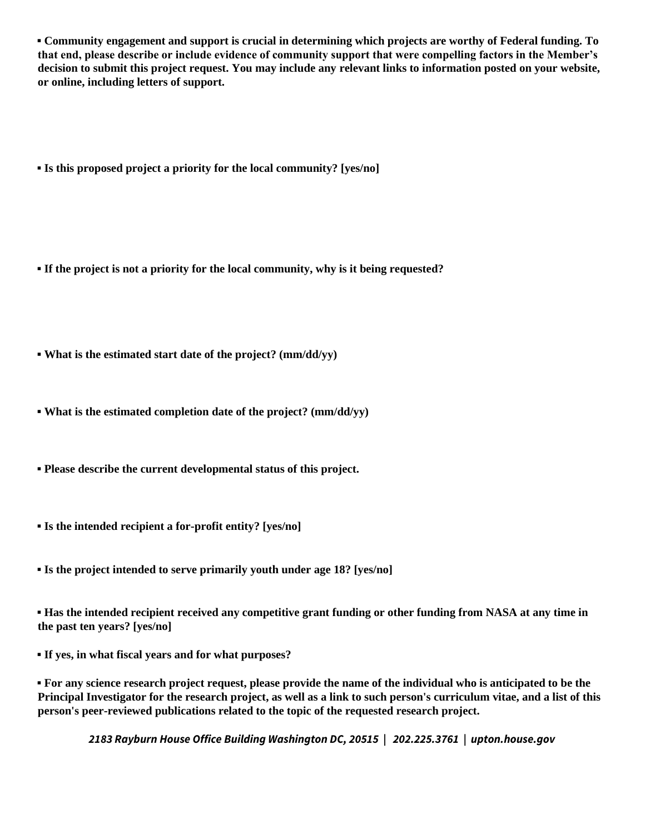**▪ Community engagement and support is crucial in determining which projects are worthy of Federal funding. To that end, please describe or include evidence of community support that were compelling factors in the Member's decision to submit this project request. You may include any relevant links to information posted on your website, or online, including letters of support.** 

**▪ Is this proposed project a priority for the local community? [yes/no]** 

**▪ If the project is not a priority for the local community, why is it being requested?** 

**▪ What is the estimated start date of the project? (mm/dd/yy)** 

**▪ What is the estimated completion date of the project? (mm/dd/yy)** 

**▪ Please describe the current developmental status of this project.** 

**▪ Is the intended recipient a for-profit entity? [yes/no]** 

**▪ Is the project intended to serve primarily youth under age 18? [yes/no]** 

**▪ Has the intended recipient received any competitive grant funding or other funding from NASA at any time in the past ten years? [yes/no]** 

**▪ If yes, in what fiscal years and for what purposes?** 

**▪ For any science research project request, please provide the name of the individual who is anticipated to be the Principal Investigator for the research project, as well as a link to such person's curriculum vitae, and a list of this person's peer-reviewed publications related to the topic of the requested research project.**